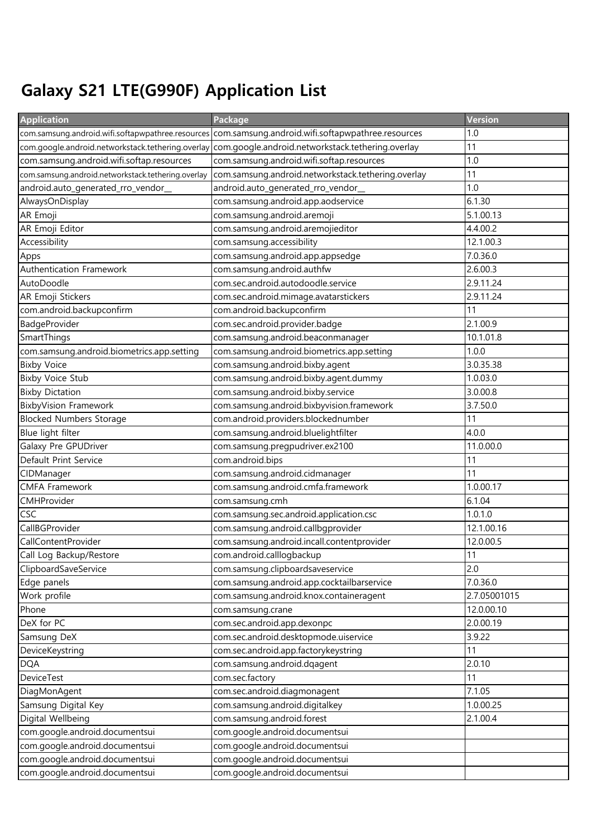## Galaxy S21 LTE(G990F) Application List

| <b>Application</b>                                 | Package                                                                                             | Version      |
|----------------------------------------------------|-----------------------------------------------------------------------------------------------------|--------------|
|                                                    | com.samsung.android.wifi.softapwpathree.resources com.samsung.android.wifi.softapwpathree.resources | 1.0          |
|                                                    | com.google.android.networkstack.tethering.overlay com.google.android.networkstack.tethering.overlay | 11           |
| com.samsung.android.wifi.softap.resources          | com.samsung.android.wifi.softap.resources                                                           | 1.0          |
| com.samsung.android.networkstack.tethering.overlay | com.samsung.android.networkstack.tethering.overlay                                                  | 11           |
| android.auto_generated_rro_vendor_                 | android.auto_generated_rro_vendor_                                                                  | 1.0          |
| AlwaysOnDisplay                                    | com.samsung.android.app.aodservice                                                                  | 6.1.30       |
| AR Emoji                                           | com.samsung.android.aremoji                                                                         | 5.1.00.13    |
| AR Emoji Editor                                    | com.samsung.android.aremojieditor                                                                   | 4.4.00.2     |
| Accessibility                                      | com.samsung.accessibility                                                                           | 12.1.00.3    |
| Apps                                               | com.samsung.android.app.appsedge                                                                    | 7.0.36.0     |
| Authentication Framework                           | com.samsung.android.authfw                                                                          | 2.6.00.3     |
| AutoDoodle                                         | com.sec.android.autodoodle.service                                                                  | 2.9.11.24    |
| AR Emoji Stickers                                  | com.sec.android.mimage.avatarstickers                                                               | 2.9.11.24    |
| com.android.backupconfirm                          | com.android.backupconfirm                                                                           | 11           |
| BadgeProvider                                      | com.sec.android.provider.badge                                                                      | 2.1.00.9     |
| SmartThings                                        | com.samsung.android.beaconmanager                                                                   | 10.1.01.8    |
| com.samsung.android.biometrics.app.setting         | com.samsung.android.biometrics.app.setting                                                          | 1.0.0        |
| <b>Bixby Voice</b>                                 | com.samsung.android.bixby.agent                                                                     | 3.0.35.38    |
| <b>Bixby Voice Stub</b>                            | com.samsung.android.bixby.agent.dummy                                                               | 1.0.03.0     |
| <b>Bixby Dictation</b>                             | com.samsung.android.bixby.service                                                                   | 3.0.00.8     |
| <b>BixbyVision Framework</b>                       | com.samsung.android.bixbyvision.framework                                                           | 3.7.50.0     |
| <b>Blocked Numbers Storage</b>                     | com.android.providers.blockednumber                                                                 | 11           |
| Blue light filter                                  | com.samsung.android.bluelightfilter                                                                 | 4.0.0        |
| Galaxy Pre GPUDriver                               | com.samsung.pregpudriver.ex2100                                                                     | 11.0.00.0    |
| Default Print Service                              | com.android.bips                                                                                    | 11           |
| CIDManager                                         | com.samsung.android.cidmanager                                                                      | 11           |
| <b>CMFA Framework</b>                              | com.samsung.android.cmfa.framework                                                                  | 1.0.00.17    |
| CMHProvider                                        | com.samsung.cmh                                                                                     | 6.1.04       |
| <b>CSC</b>                                         | com.samsung.sec.android.application.csc                                                             | 1.0.1.0      |
| CallBGProvider                                     | com.samsung.android.callbgprovider                                                                  | 12.1.00.16   |
| CallContentProvider                                | com.samsung.android.incall.contentprovider                                                          | 12.0.00.5    |
| Call Log Backup/Restore                            | com.android.calllogbackup                                                                           | 11           |
| ClipboardSaveService                               | com.samsung.clipboardsaveservice                                                                    | 2.0          |
| Edge panels                                        | com.samsung.android.app.cocktailbarservice                                                          | 7.0.36.0     |
| Work profile                                       | com.samsung.android.knox.containeragent                                                             | 2.7.05001015 |
| Phone                                              | com.samsung.crane                                                                                   | 12.0.00.10   |
| DeX for PC                                         | com.sec.android.app.dexonpc                                                                         | 2.0.00.19    |
| Samsung DeX                                        | com.sec.android.desktopmode.uiservice                                                               | 3.9.22       |
| DeviceKeystring                                    | com.sec.android.app.factorykeystring                                                                | 11           |
| <b>DQA</b>                                         | com.samsung.android.dqagent                                                                         | 2.0.10       |
| DeviceTest                                         | com.sec.factory                                                                                     | 11           |
| DiagMonAgent                                       | com.sec.android.diagmonagent                                                                        | 7.1.05       |
| Samsung Digital Key                                | com.samsung.android.digitalkey                                                                      | 1.0.00.25    |
| Digital Wellbeing                                  | com.samsung.android.forest                                                                          | 2.1.00.4     |
| com.google.android.documentsui                     | com.google.android.documentsui                                                                      |              |
| com.google.android.documentsui                     | com.google.android.documentsui                                                                      |              |
| com.google.android.documentsui                     | com.google.android.documentsui                                                                      |              |
| com.google.android.documentsui                     | com.google.android.documentsui                                                                      |              |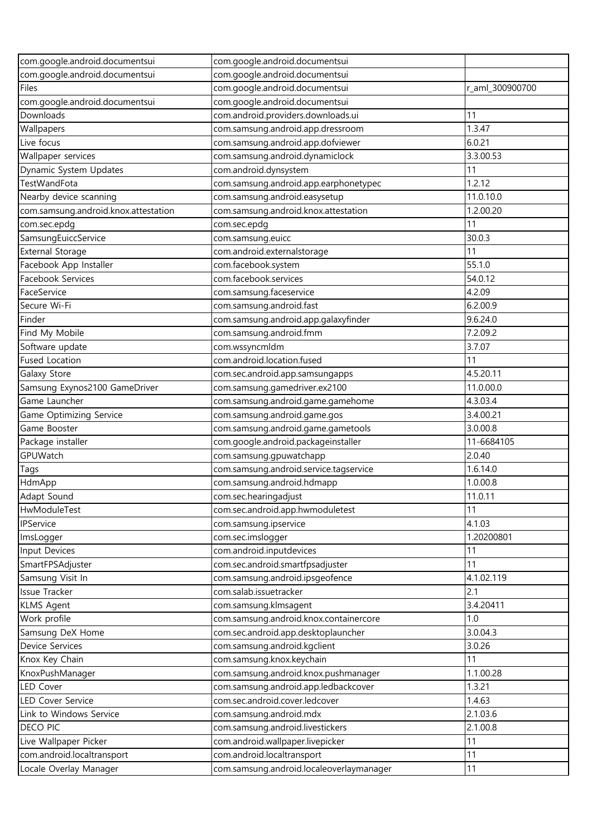| com.google.android.documentsui       | com.google.android.documentsui           |                 |
|--------------------------------------|------------------------------------------|-----------------|
| com.google.android.documentsui       | com.google.android.documentsui           |                 |
| Files                                | com.google.android.documentsui           | r_aml_300900700 |
| com.google.android.documentsui       | com.google.android.documentsui           |                 |
| Downloads                            | com.android.providers.downloads.ui       | 11              |
| Wallpapers                           | com.samsung.android.app.dressroom        | 1.3.47          |
| Live focus                           | com.samsung.android.app.dofviewer        | 6.0.21          |
| Wallpaper services                   | com.samsung.android.dynamiclock          | 3.3.00.53       |
| Dynamic System Updates               | com.android.dynsystem                    | 11              |
| TestWandFota                         | com.samsung.android.app.earphonetypec    | 1.2.12          |
| Nearby device scanning               | com.samsung.android.easysetup            | 11.0.10.0       |
| com.samsung.android.knox.attestation | com.samsung.android.knox.attestation     | 1.2.00.20       |
| com.sec.epdg                         | com.sec.epdg                             | 11              |
| SamsungEuiccService                  | com.samsung.euicc                        | 30.0.3          |
| <b>External Storage</b>              | com.android.externalstorage              | 11              |
| Facebook App Installer               | com.facebook.system                      | 55.1.0          |
| Facebook Services                    | com.facebook.services                    | 54.0.12         |
| FaceService                          | com.samsung.faceservice                  | 4.2.09          |
| Secure Wi-Fi                         | com.samsung.android.fast                 | 6.2.00.9        |
| Finder                               | com.samsung.android.app.galaxyfinder     | 9.6.24.0        |
| Find My Mobile                       | com.samsung.android.fmm                  | 7.2.09.2        |
| Software update                      | com.wssyncmldm                           | 3.7.07          |
| <b>Fused Location</b>                | com.android.location.fused               | 11              |
| Galaxy Store                         | com.sec.android.app.samsungapps          | 4.5.20.11       |
| Samsung Exynos2100 GameDriver        | com.samsung.gamedriver.ex2100            | 11.0.00.0       |
| Game Launcher                        | com.samsung.android.game.gamehome        | 4.3.03.4        |
| Game Optimizing Service              | com.samsung.android.game.gos             | 3.4.00.21       |
| Game Booster                         | com.samsung.android.game.gametools       | 3.0.00.8        |
| Package installer                    | com.google.android.packageinstaller      | 11-6684105      |
| GPUWatch                             | com.samsung.gpuwatchapp                  | 2.0.40          |
| Tags                                 | com.samsung.android.service.tagservice   | 1.6.14.0        |
| HdmApp                               | com.samsung.android.hdmapp               | 1.0.00.8        |
| Adapt Sound                          | com.sec.hearingadjust                    | 11.0.11         |
| HwModuleTest                         | com.sec.android.app.hwmoduletest         | 11              |
| IPService                            | com.samsung.ipservice                    | 4.1.03          |
| ImsLogger                            | com.sec.imslogger                        | 1.20200801      |
| Input Devices                        | com.android.inputdevices                 | 11              |
| SmartFPSAdjuster                     | com.sec.android.smartfpsadjuster         | 11              |
| Samsung Visit In                     | com.samsung.android.ipsgeofence          | 4.1.02.119      |
| Issue Tracker                        | com.salab.issuetracker                   | 2.1             |
| <b>KLMS Agent</b>                    | com.samsung.klmsagent                    | 3.4.20411       |
| Work profile                         | com.samsung.android.knox.containercore   | 1.0             |
| Samsung DeX Home                     | com.sec.android.app.desktoplauncher      | 3.0.04.3        |
| Device Services                      | com.samsung.android.kgclient             | 3.0.26          |
| Knox Key Chain                       | com.samsung.knox.keychain                | 11              |
| KnoxPushManager                      | com.samsung.android.knox.pushmanager     | 1.1.00.28       |
| LED Cover                            | com.samsung.android.app.ledbackcover     | 1.3.21          |
| LED Cover Service                    | com.sec.android.cover.ledcover           | 1.4.63          |
| Link to Windows Service              | com.samsung.android.mdx                  | 2.1.03.6        |
| DECO PIC                             | com.samsung.android.livestickers         | 2.1.00.8        |
| Live Wallpaper Picker                | com.android.wallpaper.livepicker         | 11              |
| com.android.localtransport           | com.android.localtransport               | 11              |
| Locale Overlay Manager               | com.samsung.android.localeoverlaymanager | 11              |
|                                      |                                          |                 |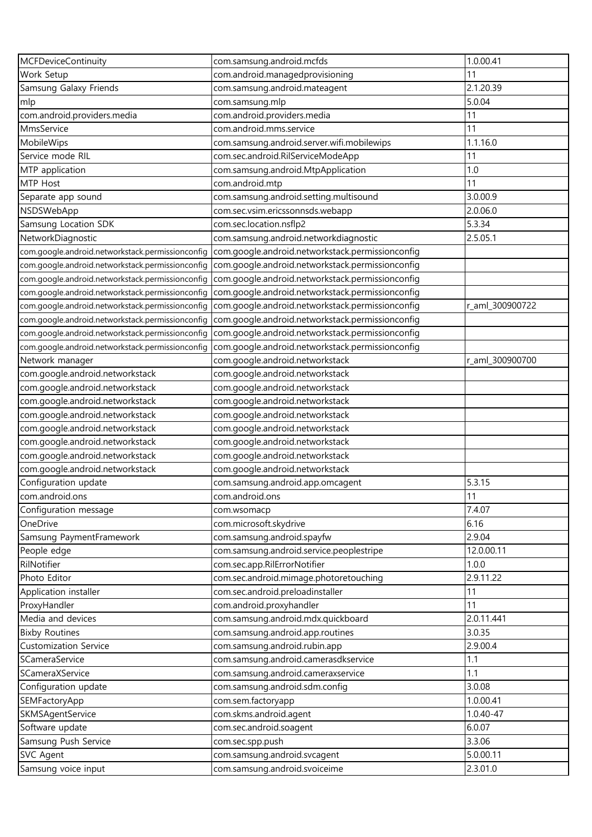| <b>MCFDeviceContinuity</b>                       | com.samsung.android.mcfds                        | 1.0.00.41       |
|--------------------------------------------------|--------------------------------------------------|-----------------|
| Work Setup                                       | com.android.managedprovisioning                  | 11              |
| Samsung Galaxy Friends                           | com.samsung.android.mateagent                    | 2.1.20.39       |
| mlp                                              | com.samsung.mlp                                  | 5.0.04          |
| com.android.providers.media                      | com.android.providers.media                      | 11              |
| MmsService                                       | com.android.mms.service                          | 11              |
| MobileWips                                       | com.samsung.android.server.wifi.mobilewips       | 1.1.16.0        |
| Service mode RIL                                 | com.sec.android.RilServiceModeApp                | 11              |
| MTP application                                  | com.samsung.android.MtpApplication               | 1.0             |
| MTP Host                                         | com.android.mtp                                  | 11              |
| Separate app sound                               | com.samsung.android.setting.multisound           | 3.0.00.9        |
| NSDSWebApp                                       | com.sec.vsim.ericssonnsds.webapp                 | 2.0.06.0        |
| Samsung Location SDK                             | com.sec.location.nsflp2                          | 5.3.34          |
| NetworkDiagnostic                                | com.samsung.android.networkdiagnostic            | 2.5.05.1        |
| com.google.android.networkstack.permissionconfig | com.google.android.networkstack.permissionconfig |                 |
| com.google.android.networkstack.permissionconfig | com.google.android.networkstack.permissionconfig |                 |
| com.google.android.networkstack.permissionconfiq | com.google.android.networkstack.permissionconfig |                 |
| com.google.android.networkstack.permissionconfig | com.google.android.networkstack.permissionconfig |                 |
| com.google.android.networkstack.permissionconfig | com.google.android.networkstack.permissionconfig | r_aml_300900722 |
| com.google.android.networkstack.permissionconfig | com.google.android.networkstack.permissionconfig |                 |
| com.google.android.networkstack.permissionconfig | com.google.android.networkstack.permissionconfig |                 |
| com.google.android.networkstack.permissionconfig | com.google.android.networkstack.permissionconfig |                 |
| Network manager                                  | com.google.android.networkstack                  | r_aml_300900700 |
| com.google.android.networkstack                  | com.google.android.networkstack                  |                 |
| com.google.android.networkstack                  | com.google.android.networkstack                  |                 |
| com.google.android.networkstack                  | com.google.android.networkstack                  |                 |
| com.google.android.networkstack                  | com.google.android.networkstack                  |                 |
| com.google.android.networkstack                  | com.google.android.networkstack                  |                 |
| com.google.android.networkstack                  | com.google.android.networkstack                  |                 |
| com.google.android.networkstack                  | com.google.android.networkstack                  |                 |
| com.google.android.networkstack                  | com.google.android.networkstack                  |                 |
| Configuration update                             | com.samsung.android.app.omcagent                 | 5.3.15          |
| com.android.ons                                  | com.android.ons                                  | 11              |
| Configuration message                            | com.wsomacp                                      | 7.4.07          |
| OneDrive                                         | com.microsoft.skydrive                           | 6.16            |
| Samsung PaymentFramework                         | com.samsung.android.spayfw                       | 2.9.04          |
| People edge                                      | com.samsung.android.service.peoplestripe         | 12.0.00.11      |
| RilNotifier                                      | com.sec.app.RilErrorNotifier                     | 1.0.0           |
| Photo Editor                                     | com.sec.android.mimage.photoretouching           | 2.9.11.22       |
| Application installer                            | com.sec.android.preloadinstaller                 | 11              |
| ProxyHandler                                     | com.android.proxyhandler                         | 11              |
| Media and devices                                | com.samsung.android.mdx.quickboard               | 2.0.11.441      |
| <b>Bixby Routines</b>                            | com.samsung.android.app.routines                 | 3.0.35          |
| <b>Customization Service</b>                     | com.samsung.android.rubin.app                    | 2.9.00.4        |
| SCameraService                                   | com.samsung.android.camerasdkservice             | 1.1             |
| SCameraXService                                  | com.samsung.android.cameraxservice               | 1.1             |
| Configuration update                             | com.samsung.android.sdm.config                   | 3.0.08          |
| SEMFactoryApp                                    | com.sem.factoryapp                               | 1.0.00.41       |
| SKMSAgentService                                 | com.skms.android.agent                           | $1.0.40 - 47$   |
| Software update                                  | com.sec.android.soagent                          | 6.0.07          |
| Samsung Push Service                             | com.sec.spp.push                                 | 3.3.06          |
| <b>SVC Agent</b>                                 | com.samsung.android.svcagent                     | 5.0.00.11       |
| Samsung voice input                              | com.samsung.android.svoiceime                    | 2.3.01.0        |
|                                                  |                                                  |                 |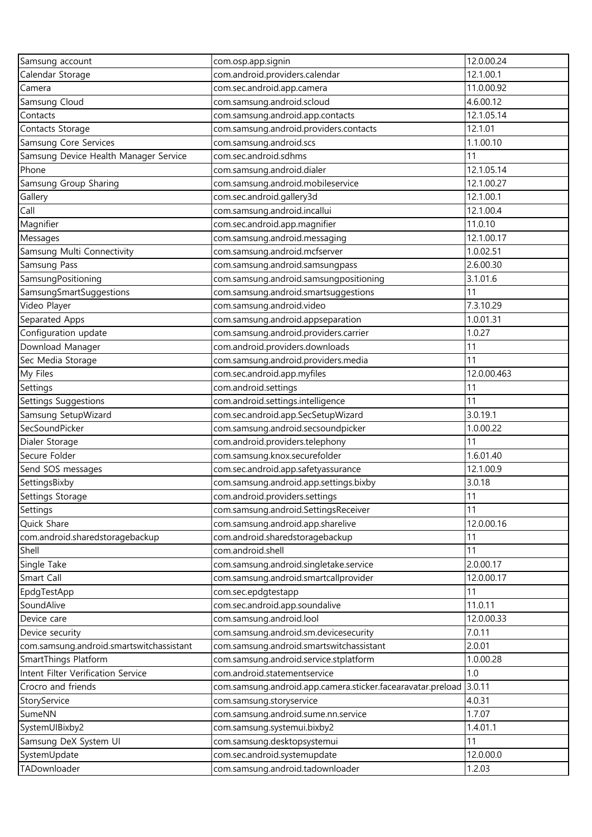| Samsung account                                          | com.osp.app.signin                                                              | 12.0.00.24    |
|----------------------------------------------------------|---------------------------------------------------------------------------------|---------------|
| Calendar Storage                                         | com.android.providers.calendar                                                  | 12.1.00.1     |
| Camera                                                   | com.sec.android.app.camera                                                      | 11.0.00.92    |
| Samsung Cloud                                            | com.samsung.android.scloud                                                      | 4.6.00.12     |
| Contacts                                                 | com.samsung.android.app.contacts                                                | 12.1.05.14    |
| Contacts Storage                                         | com.samsung.android.providers.contacts                                          | 12.1.01       |
| <b>Samsung Core Services</b>                             | com.samsung.android.scs                                                         | 1.1.00.10     |
| Samsung Device Health Manager Service                    | com.sec.android.sdhms                                                           | 11            |
| Phone                                                    | com.samsung.android.dialer                                                      | 12.1.05.14    |
| Samsung Group Sharing                                    | com.samsung.android.mobileservice                                               | 12.1.00.27    |
| Gallery                                                  | com.sec.android.gallery3d                                                       | 12.1.00.1     |
| Call                                                     | com.samsung.android.incallui                                                    | 12.1.00.4     |
| Magnifier                                                | com.sec.android.app.magnifier                                                   | 11.0.10       |
| Messages                                                 | com.samsung.android.messaging                                                   | 12.1.00.17    |
| Samsung Multi Connectivity                               | com.samsung.android.mcfserver                                                   | 1.0.02.51     |
| Samsung Pass                                             | com.samsung.android.samsungpass                                                 | 2.6.00.30     |
| SamsungPositioning                                       | com.samsung.android.samsungpositioning                                          | 3.1.01.6      |
| SamsungSmartSuggestions                                  | com.samsung.android.smartsuggestions                                            | 11            |
| Video Player                                             | com.samsung.android.video                                                       | 7.3.10.29     |
| Separated Apps                                           | com.samsung.android.appseparation                                               | 1.0.01.31     |
| Configuration update                                     | com.samsung.android.providers.carrier                                           | 1.0.27        |
| Download Manager                                         | com.android.providers.downloads                                                 | 11            |
| Sec Media Storage                                        | com.samsung.android.providers.media                                             | 11            |
| My Files                                                 | com.sec.android.app.myfiles                                                     | 12.0.00.463   |
| Settings                                                 | com.android.settings                                                            | 11            |
|                                                          |                                                                                 | 11            |
| Settings Suggestions<br>Samsung SetupWizard              | com.android.settings.intelligence<br>com.sec.android.app.SecSetupWizard         | 3.0.19.1      |
| SecSoundPicker                                           |                                                                                 | 1.0.00.22     |
|                                                          | com.samsung.android.secsoundpicker<br>com.android.providers.telephony           | 11            |
| Dialer Storage<br>Secure Folder                          | com.samsung.knox.securefolder                                                   | 1.6.01.40     |
| Send SOS messages                                        | com.sec.android.app.safetyassurance                                             | 12.1.00.9     |
| SettingsBixby                                            | com.samsung.android.app.settings.bixby                                          | 3.0.18        |
| Settings Storage                                         | com.android.providers.settings                                                  | 11            |
| Settings                                                 |                                                                                 | 11            |
| Quick Share                                              | com.samsung.android.SettingsReceiver<br>com.samsung.android.app.sharelive       | 12.0.00.16    |
|                                                          |                                                                                 |               |
| com.android.sharedstoragebackup<br>Shell                 | com.android.sharedstoragebackup<br>com.android.shell                            | 11<br>11      |
|                                                          |                                                                                 | 2.0.00.17     |
| Single Take<br>Smart Call                                | com.samsung.android.singletake.service<br>com.samsung.android.smartcallprovider | 12.0.00.17    |
|                                                          | com.sec.epdgtestapp                                                             | 11            |
| EpdgTestApp<br>SoundAlive                                | com.sec.android.app.soundalive                                                  | 11.0.11       |
| Device care                                              | com.samsung.android.lool                                                        | 12.0.00.33    |
| Device security                                          | com.samsung.android.sm.devicesecurity                                           | 7.0.11        |
| com.samsung.android.smartswitchassistant                 | com.samsung.android.smartswitchassistant                                        | 2.0.01        |
| SmartThings Platform                                     |                                                                                 | 1.0.00.28     |
|                                                          | com.samsung.android.service.stplatform                                          |               |
| Intent Filter Verification Service<br>Crocro and friends | com.android.statementservice                                                    | 1.0<br>3.0.11 |
|                                                          | com.samsung.android.app.camera.sticker.facearavatar.preload                     | 4.0.31        |
| StoryService                                             | com.samsung.storyservice                                                        | 1.7.07        |
| SumeNN                                                   | com.samsung.android.sume.nn.service                                             |               |
| SystemUIBixby2                                           | com.samsung.systemui.bixby2                                                     | 1.4.01.1      |
| Samsung DeX System UI                                    | com.samsung.desktopsystemui                                                     | 11            |
| SystemUpdate                                             | com.sec.android.systemupdate                                                    | 12.0.00.0     |
| TADownloader                                             | com.samsung.android.tadownloader                                                | 1.2.03        |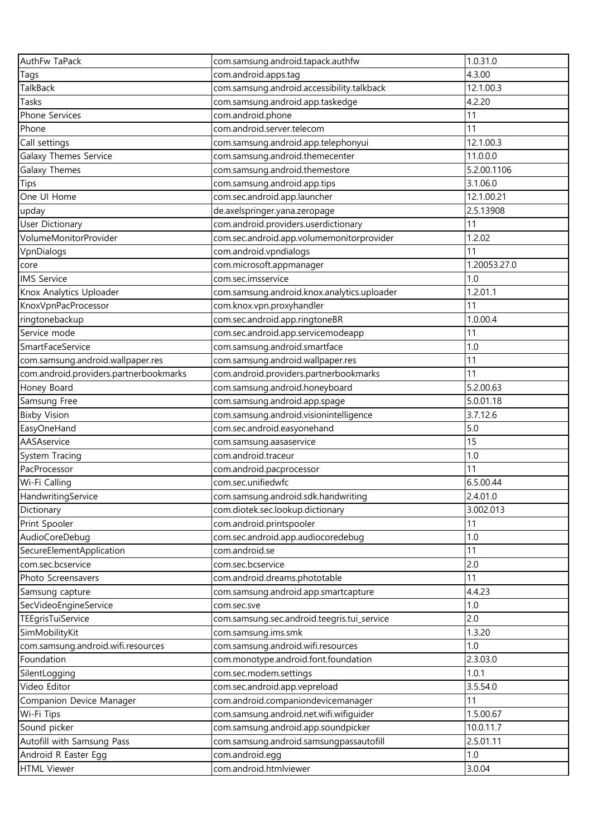| AuthFw TaPack                          | com.samsung.android.tapack.authfw                                       | 1.0.31.0     |
|----------------------------------------|-------------------------------------------------------------------------|--------------|
| Tags                                   | com.android.apps.tag                                                    | 4.3.00       |
| TalkBack                               | com.samsung.android.accessibility.talkback                              | 12.1.00.3    |
| Tasks                                  | com.samsung.android.app.taskedge                                        | 4.2.20       |
| Phone Services                         | com.android.phone                                                       | 11           |
| Phone                                  | com.android.server.telecom                                              | 11           |
| Call settings                          | com.samsung.android.app.telephonyui                                     | 12.1.00.3    |
| Galaxy Themes Service                  | com.samsung.android.themecenter                                         | 11.0.0.0     |
| Galaxy Themes                          | com.samsung.android.themestore                                          | 5.2.00.1106  |
| Tips                                   | com.samsung.android.app.tips                                            | 3.1.06.0     |
| One UI Home                            | com.sec.android.app.launcher                                            | 12.1.00.21   |
| upday                                  | de.axelspringer.yana.zeropage                                           | 2.5.13908    |
| User Dictionary                        | com.android.providers.userdictionary                                    | 11           |
| VolumeMonitorProvider                  | com.sec.android.app.volumemonitorprovider                               | 1.2.02       |
| VpnDialogs                             | com.android.vpndialogs                                                  | 11           |
| core                                   | com.microsoft.appmanager                                                | 1.20053.27.0 |
| <b>IMS Service</b>                     | com.sec.imsservice                                                      | 1.0          |
| Knox Analytics Uploader                | com.samsung.android.knox.analytics.uploader                             | 1.2.01.1     |
| KnoxVpnPacProcessor                    | com.knox.vpn.proxyhandler                                               | 11           |
| ringtonebackup                         | com.sec.android.app.ringtoneBR                                          | 1.0.00.4     |
| Service mode                           | com.sec.android.app.servicemodeapp                                      | 11           |
| SmartFaceService                       | com.samsung.android.smartface                                           | 1.0          |
| com.samsung.android.wallpaper.res      | com.samsung.android.wallpaper.res                                       | 11           |
| com.android.providers.partnerbookmarks | com.android.providers.partnerbookmarks                                  | 11           |
| Honey Board                            | com.samsung.android.honeyboard                                          | 5.2.00.63    |
|                                        |                                                                         | 5.0.01.18    |
| Samsung Free<br><b>Bixby Vision</b>    | com.samsung.android.app.spage<br>com.samsung.android.visionintelligence | 3.7.12.6     |
| EasyOneHand                            | com.sec.android.easyonehand                                             | 5.0          |
| AASAservice                            | com.samsung.aasaservice                                                 | 15           |
| System Tracing                         | com.android.traceur                                                     | 1.0          |
| PacProcessor                           | com.android.pacprocessor                                                | 11           |
| Wi-Fi Calling                          | com.sec.unifiedwfc                                                      | 6.5.00.44    |
| HandwritingService                     | com.samsung.android.sdk.handwriting                                     | 2.4.01.0     |
| Dictionary                             | com.diotek.sec.lookup.dictionary                                        | 3.002.013    |
| Print Spooler                          | com.android.printspooler                                                | 11           |
|                                        | com.sec.android.app.audiocoredebug                                      | 1.0          |
| AudioCoreDebug                         | com.android.se                                                          | 11           |
| SecureElementApplication               |                                                                         | 2.0          |
| com.sec.bcservice                      | com.sec.bcservice                                                       | 11           |
| Photo Screensavers                     | com.android.dreams.phototable                                           |              |
| Samsung capture                        | com.samsung.android.app.smartcapture                                    | 4.4.23       |
| SecVideoEngineService                  | com.sec.sve                                                             | 1.0<br>2.0   |
| TEEgrisTuiService                      | com.samsung.sec.android.teegris.tui_service                             |              |
| SimMobilityKit                         | com.samsung.ims.smk                                                     | 1.3.20       |
| com.samsung.android.wifi.resources     | com.samsung.android.wifi.resources                                      | 1.0          |
| Foundation                             | com.monotype.android.font.foundation                                    | 2.3.03.0     |
| SilentLogging                          | com.sec.modem.settings                                                  | 1.0.1        |
| Video Editor                           | com.sec.android.app.vepreload                                           | 3.5.54.0     |
| Companion Device Manager               | com.android.companiondevicemanager                                      | 11           |
| Wi-Fi Tips                             | com.samsung.android.net.wifi.wifiguider                                 | 1.5.00.67    |
| Sound picker                           | com.samsung.android.app.soundpicker                                     | 10.0.11.7    |
| Autofill with Samsung Pass             | com.samsung.android.samsungpassautofill                                 | 2.5.01.11    |
| Android R Easter Egg                   | com.android.egg                                                         | 1.0          |
| <b>HTML Viewer</b>                     | com.android.htmlviewer                                                  | 3.0.04       |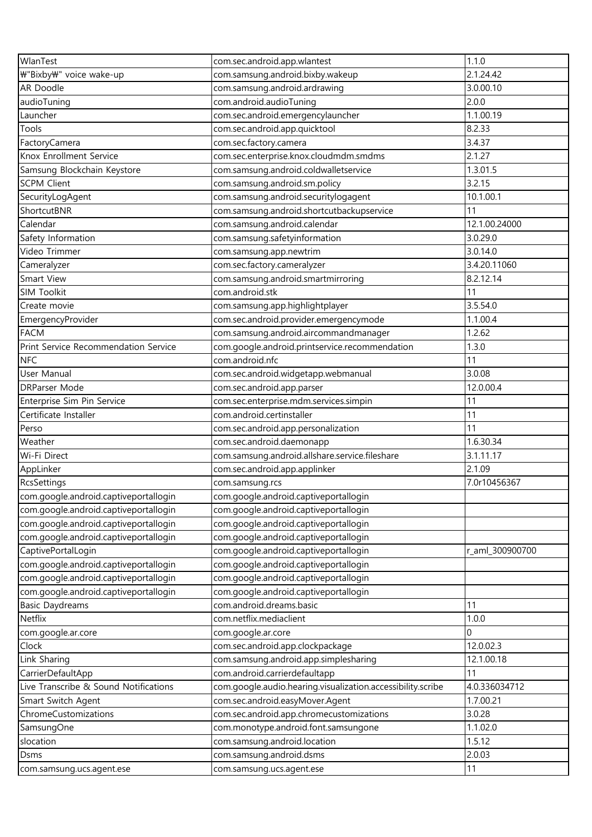| WlanTest                              | com.sec.android.app.wlantest                                | 1.1.0           |
|---------------------------------------|-------------------------------------------------------------|-----------------|
| ₩"Bixby₩" voice wake-up               | com.samsung.android.bixby.wakeup                            | 2.1.24.42       |
| AR Doodle                             | com.samsung.android.ardrawing                               | 3.0.00.10       |
| audioTuning                           | com.android.audioTuning                                     | 2.0.0           |
| Launcher                              | com.sec.android.emergencylauncher                           | 1.1.00.19       |
| Tools                                 | com.sec.android.app.quicktool                               | 8.2.33          |
| FactoryCamera                         | com.sec.factory.camera                                      | 3.4.37          |
| Knox Enrollment Service               | com.sec.enterprise.knox.cloudmdm.smdms                      | 2.1.27          |
| Samsung Blockchain Keystore           | com.samsung.android.coldwalletservice                       | 1.3.01.5        |
| <b>SCPM Client</b>                    | com.samsung.android.sm.policy                               | 3.2.15          |
| SecurityLogAgent                      | com.samsung.android.securitylogagent                        | 10.1.00.1       |
| ShortcutBNR                           | com.samsung.android.shortcutbackupservice                   | 11              |
| Calendar                              | com.samsung.android.calendar                                | 12.1.00.24000   |
| Safety Information                    | com.samsung.safetyinformation                               | 3.0.29.0        |
| Video Trimmer                         | com.samsung.app.newtrim                                     | 3.0.14.0        |
| Cameralyzer                           | com.sec.factory.cameralyzer                                 | 3.4.20.11060    |
| Smart View                            | com.samsung.android.smartmirroring                          | 8.2.12.14       |
| SIM Toolkit                           | com.android.stk                                             | 11              |
| Create movie                          | com.samsung.app.highlightplayer                             | 3.5.54.0        |
|                                       |                                                             | 1.1.00.4        |
| EmergencyProvider                     | com.sec.android.provider.emergencymode                      | 1.2.62          |
| <b>FACM</b>                           | com.samsung.android.aircommandmanager                       |                 |
| Print Service Recommendation Service  | com.google.android.printservice.recommendation              | 1.3.0           |
| <b>NFC</b>                            | com.android.nfc                                             | 11              |
| User Manual                           | com.sec.android.widgetapp.webmanual                         | 3.0.08          |
| <b>DRParser Mode</b>                  | com.sec.android.app.parser                                  | 12.0.00.4       |
| Enterprise Sim Pin Service            | com.sec.enterprise.mdm.services.simpin                      | 11              |
| Certificate Installer                 | com.android.certinstaller                                   | 11              |
| Perso                                 | com.sec.android.app.personalization                         | 11              |
| Weather                               | com.sec.android.daemonapp                                   | 1.6.30.34       |
| Wi-Fi Direct                          | com.samsung.android.allshare.service.fileshare              | 3.1.11.17       |
| AppLinker                             | com.sec.android.app.applinker                               | 2.1.09          |
| RcsSettings                           | com.samsung.rcs                                             | 7.0r10456367    |
| com.google.android.captiveportallogin | com.google.android.captiveportallogin                       |                 |
| com.google.android.captiveportallogin | com.google.android.captiveportallogin                       |                 |
| com.google.android.captiveportallogin | com.google.android.captiveportallogin                       |                 |
| com.google.android.captiveportallogin | com.google.android.captiveportallogin                       |                 |
| CaptivePortalLogin                    | com.google.android.captiveportallogin                       | r_aml_300900700 |
| com.google.android.captiveportallogin | com.google.android.captiveportallogin                       |                 |
| com.google.android.captiveportallogin | com.google.android.captiveportallogin                       |                 |
| com.google.android.captiveportallogin | com.google.android.captiveportallogin                       |                 |
| <b>Basic Daydreams</b>                | com.android.dreams.basic                                    | 11              |
| Netflix                               | com.netflix.mediaclient                                     | 1.0.0           |
| com.google.ar.core                    | com.google.ar.core                                          | 0               |
| Clock                                 | com.sec.android.app.clockpackage                            | 12.0.02.3       |
| Link Sharing                          | com.samsung.android.app.simplesharing                       | 12.1.00.18      |
| CarrierDefaultApp                     | com.android.carrierdefaultapp                               | 11              |
| Live Transcribe & Sound Notifications | com.google.audio.hearing.visualization.accessibility.scribe | 4.0.336034712   |
| Smart Switch Agent                    | com.sec.android.easyMover.Agent                             | 1.7.00.21       |
| ChromeCustomizations                  | com.sec.android.app.chromecustomizations                    | 3.0.28          |
| SamsungOne                            | com.monotype.android.font.samsungone                        | 1.1.02.0        |
| slocation                             | com.samsung.android.location                                | 1.5.12          |
| Dsms                                  | com.samsung.android.dsms                                    | 2.0.03          |
| com.samsung.ucs.agent.ese             | com.samsung.ucs.agent.ese                                   | 11              |
|                                       |                                                             |                 |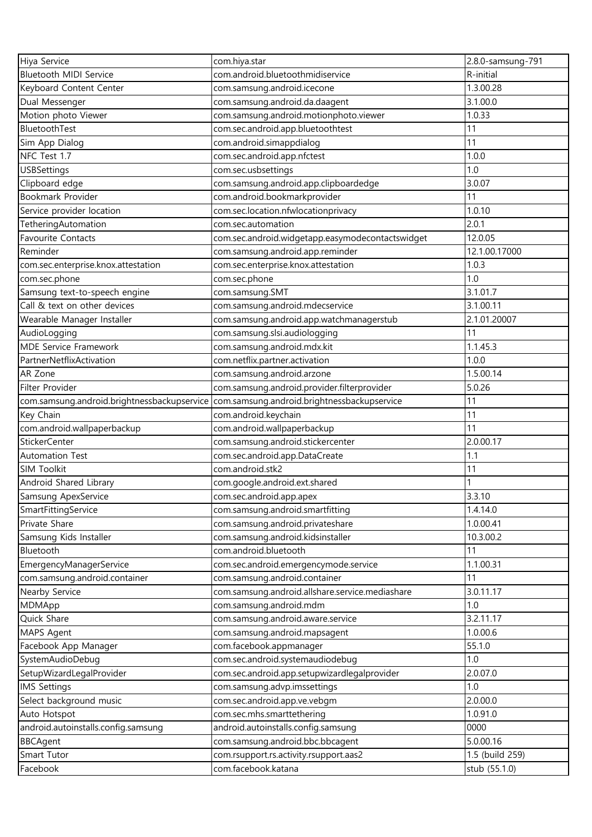| Hiya Service                                | com.hiya.star                                    | 2.8.0-samsung-791 |
|---------------------------------------------|--------------------------------------------------|-------------------|
| Bluetooth MIDI Service                      | com.android.bluetoothmidiservice                 | R-initial         |
| Keyboard Content Center                     | com.samsung.android.icecone                      | 1.3.00.28         |
| Dual Messenger                              | com.samsung.android.da.daagent                   | 3.1.00.0          |
| Motion photo Viewer                         | com.samsung.android.motionphoto.viewer           | 1.0.33            |
| BluetoothTest                               | com.sec.android.app.bluetoothtest                | 11                |
| Sim App Dialog                              | com.android.simappdialog                         | 11                |
| NFC Test 1.7                                | com.sec.android.app.nfctest                      | 1.0.0             |
| <b>USBSettings</b>                          | com.sec.usbsettings                              | 1.0               |
| Clipboard edge                              | com.samsung.android.app.clipboardedge            | 3.0.07            |
| Bookmark Provider                           | com.android.bookmarkprovider                     | 11                |
| Service provider location                   | com.sec.location.nfwlocationprivacy              | 1.0.10            |
| TetheringAutomation                         | com.sec.automation                               | 2.0.1             |
| Favourite Contacts                          | com.sec.android.widgetapp.easymodecontactswidget | 12.0.05           |
| Reminder                                    | com.samsung.android.app.reminder                 | 12.1.00.17000     |
| com.sec.enterprise.knox.attestation         | com.sec.enterprise.knox.attestation              | 1.0.3             |
| com.sec.phone                               | com.sec.phone                                    | 1.0               |
| Samsung text-to-speech engine               | com.samsung.SMT                                  | 3.1.01.7          |
| Call & text on other devices                | com.samsung.android.mdecservice                  | 3.1.00.11         |
| Wearable Manager Installer                  | com.samsung.android.app.watchmanagerstub         | 2.1.01.20007      |
| AudioLogging                                | com.samsung.slsi.audiologging                    | 11                |
| <b>MDE Service Framework</b>                | com.samsung.android.mdx.kit                      | 1.1.45.3          |
| PartnerNetflixActivation                    | com.netflix.partner.activation                   | 1.0.0             |
| AR Zone                                     | com.samsung.android.arzone                       | 1.5.00.14         |
| Filter Provider                             | com.samsung.android.provider.filterprovider      | 5.0.26            |
| com.samsung.android.brightnessbackupservice | com.samsung.android.brightnessbackupservice      | 11                |
| Key Chain                                   | com.android.keychain                             | 11                |
| com.android.wallpaperbackup                 | com.android.wallpaperbackup                      | 11                |
| <b>StickerCenter</b>                        | com.samsung.android.stickercenter                | 2.0.00.17         |
| <b>Automation Test</b>                      | com.sec.android.app.DataCreate                   | 1.1               |
| <b>SIM Toolkit</b>                          | com.android.stk2                                 | 11                |
| Android Shared Library                      | com.google.android.ext.shared                    |                   |
| Samsung ApexService                         | com.sec.android.app.apex                         | 3.3.10            |
| SmartFittingService                         | com.samsung.android.smartfitting                 | 1.4.14.0          |
| Private Share                               | com.samsung.android.privateshare                 | 1.0.00.41         |
| Samsung Kids Installer                      | com.samsung.android.kidsinstaller                | 10.3.00.2         |
| Bluetooth                                   | com.android.bluetooth                            | 11                |
| EmergencyManagerService                     | com.sec.android.emergencymode.service            | 1.1.00.31         |
| com.samsung.android.container               | com.samsung.android.container                    | 11                |
| Nearby Service                              | com.samsung.android.allshare.service.mediashare  | 3.0.11.17         |
| MDMApp                                      | com.samsung.android.mdm                          | 1.0               |
| Quick Share                                 | com.samsung.android.aware.service                | 3.2.11.17         |
| MAPS Agent                                  | com.samsung.android.mapsagent                    | 1.0.00.6          |
| Facebook App Manager                        | com.facebook.appmanager                          | 55.1.0            |
| SystemAudioDebug                            | com.sec.android.systemaudiodebug                 | 1.0               |
| SetupWizardLegalProvider                    | com.sec.android.app.setupwizardlegalprovider     | 2.0.07.0          |
| <b>IMS Settings</b>                         | com.samsung.advp.imssettings                     | 1.0               |
| Select background music                     | com.sec.android.app.ve.vebgm                     | 2.0.00.0          |
| Auto Hotspot                                | com.sec.mhs.smarttethering                       | 1.0.91.0          |
| android.autoinstalls.config.samsung         | android.autoinstalls.config.samsung              | 0000              |
| <b>BBCAgent</b>                             | com.samsung.android.bbc.bbcagent                 | 5.0.00.16         |
| Smart Tutor                                 | com.rsupport.rs.activity.rsupport.aas2           | 1.5 (build 259)   |
| Facebook                                    | com.facebook.katana                              | stub (55.1.0)     |
|                                             |                                                  |                   |